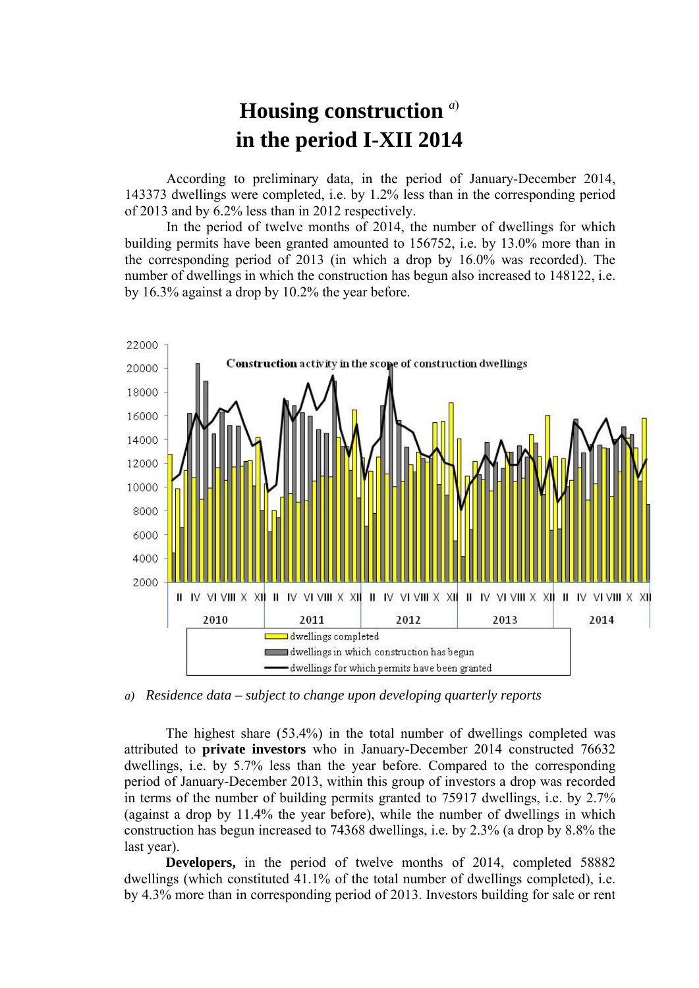## **Housing construction** *<sup>a</sup>*) **in the period I-XII 2014**

According to preliminary data, in the period of January-December 2014, 143373 dwellings were completed, i.e. by 1.2% less than in the corresponding period of 2013 and by 6.2% less than in 2012 respectively.

In the period of twelve months of 2014, the number of dwellings for which building permits have been granted amounted to 156752, i.e. by 13.0% more than in the corresponding period of 2013 (in which a drop by 16.0% was recorded). The number of dwellings in which the construction has begun also increased to 148122, i.e. by 16.3% against a drop by 10.2% the year before.



*a) Residence data – subject to change upon developing quarterly reports*

The highest share (53.4%) in the total number of dwellings completed was attributed to **private investors** who in January-December 2014 constructed 76632 dwellings, i.e. by 5.7% less than the year before. Compared to the corresponding period of January-December 2013, within this group of investors a drop was recorded in terms of the number of building permits granted to 75917 dwellings, i.e. by 2.7% (against a drop by 11.4% the year before), while the number of dwellings in which construction has begun increased to 74368 dwellings, i.e. by 2.3% (a drop by 8.8% the last year).

**Developers,** in the period of twelve months of 2014, completed 58882 dwellings (which constituted 41.1% of the total number of dwellings completed), i.e. by 4.3% more than in corresponding period of 2013. Investors building for sale or rent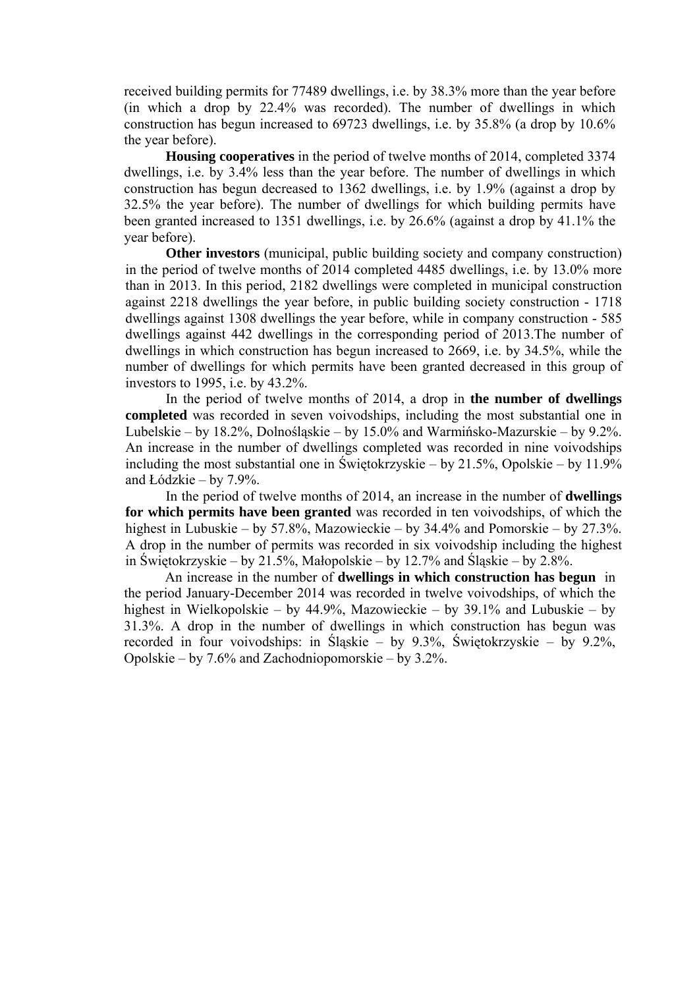received building permits for 77489 dwellings, i.e. by 38.3% more than the year before (in which a drop by 22.4% was recorded). The number of dwellings in which construction has begun increased to 69723 dwellings, i.e. by 35.8% (a drop by 10.6% the year before).

**Housing cooperatives** in the period of twelve months of 2014, completed 3374 dwellings, i.e. by 3.4% less than the year before. The number of dwellings in which construction has begun decreased to 1362 dwellings, i.e. by 1.9% (against a drop by 32.5% the year before). The number of dwellings for which building permits have been granted increased to 1351 dwellings, i.e. by 26.6% (against a drop by 41.1% the year before).

**Other investors** (municipal, public building society and company construction) in the period of twelve months of 2014 completed 4485 dwellings, i.e. by 13.0% more than in 2013. In this period, 2182 dwellings were completed in municipal construction against 2218 dwellings the year before, in public building society construction - 1718 dwellings against 1308 dwellings the year before, while in company construction - 585 dwellings against 442 dwellings in the corresponding period of 2013.The number of dwellings in which construction has begun increased to 2669, i.e. by 34.5%, while the number of dwellings for which permits have been granted decreased in this group of investors to 1995, i.e. by 43.2%.

In the period of twelve months of 2014, a drop in **the number of dwellings completed** was recorded in seven voivodships, including the most substantial one in Lubelskie – by 18.2%, Dolnośląskie – by 15.0% and Warmińsko-Mazurskie – by 9.2%. An increase in the number of dwellings completed was recorded in nine voivodships including the most substantial one in Świętokrzyskie – by 21.5%, Opolskie – by 11.9% and Łódzkie – by 7.9%.

In the period of twelve months of 2014, an increase in the number of **dwellings for which permits have been granted** was recorded in ten voivodships, of which the highest in Lubuskie – by 57.8%, Mazowieckie – by 34.4% and Pomorskie – by 27.3%. A drop in the number of permits was recorded in six voivodship including the highest in Świętokrzyskie – by 21.5%, Małopolskie – by 12.7% and Śląskie – by 2.8%.

An increase in the number of **dwellings in which construction has begun** in the period January-December 2014 was recorded in twelve voivodships, of which the highest in Wielkopolskie – by 44.9%, Mazowieckie – by 39.1% and Lubuskie – by 31.3%. A drop in the number of dwellings in which construction has begun was recorded in four voivodships: in Śląskie – by 9.3%, Świętokrzyskie – by 9.2%, Opolskie – by 7.6% and Zachodniopomorskie – by 3.2%.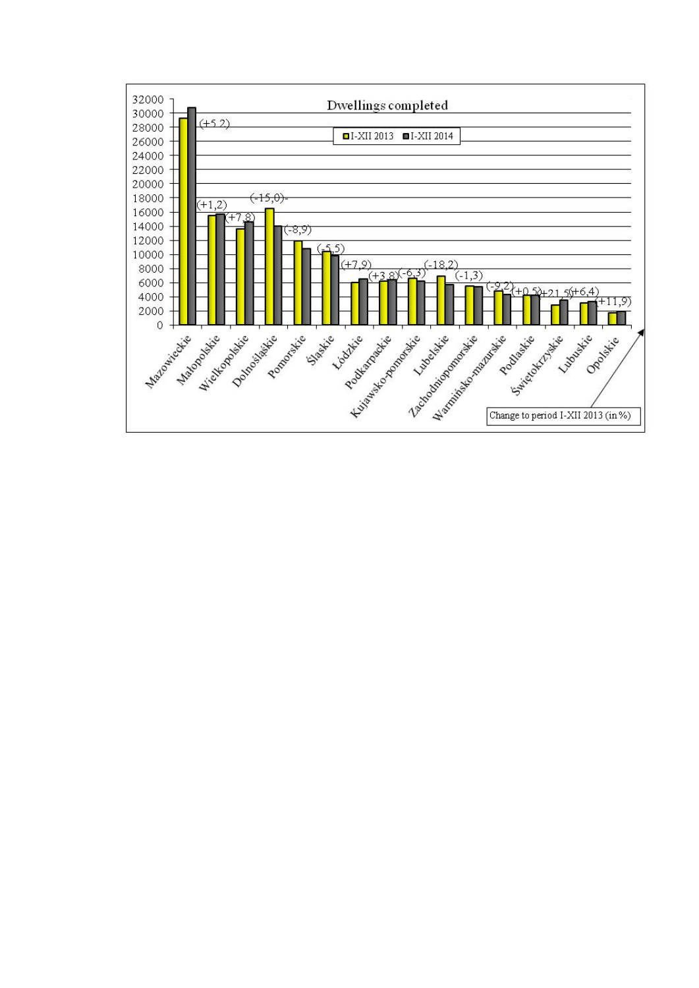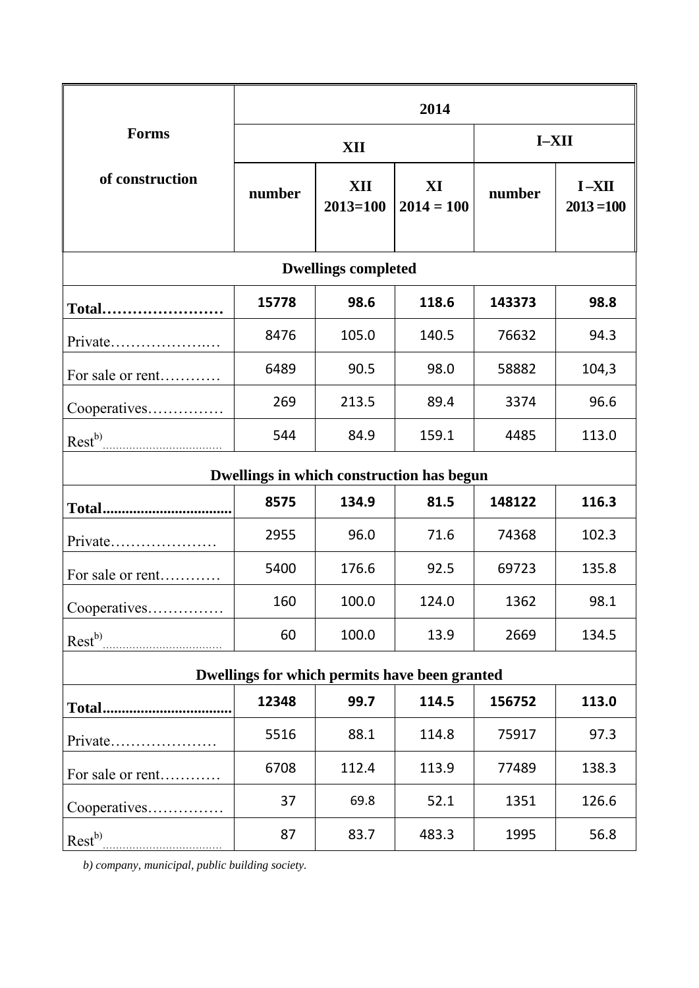|                                               | 2014   |                     |                    |         |                           |
|-----------------------------------------------|--------|---------------------|--------------------|---------|---------------------------|
| <b>Forms</b>                                  | XII    |                     |                    | $I-XII$ |                           |
| of construction                               | number | XII<br>$2013 = 100$ | XI<br>$2014 = 100$ | number  | $I - XII$<br>$2013 = 100$ |
| <b>Dwellings completed</b>                    |        |                     |                    |         |                           |
| Total                                         | 15778  | 98.6                | 118.6              | 143373  | 98.8                      |
| Private                                       | 8476   | 105.0               | 140.5              | 76632   | 94.3                      |
| For sale or rent                              | 6489   | 90.5                | 98.0               | 58882   | 104,3                     |
| Cooperatives                                  | 269    | 213.5               | 89.4               | 3374    | 96.6                      |
| $\text{Rest}^{b)}$                            | 544    | 84.9                | 159.1              | 4485    | 113.0                     |
| Dwellings in which construction has begun     |        |                     |                    |         |                           |
|                                               | 8575   | 134.9               | 81.5               | 148122  | 116.3                     |
| Private                                       | 2955   | 96.0                | 71.6               | 74368   | 102.3                     |
| For sale or rent                              | 5400   | 176.6               | 92.5               | 69723   | 135.8                     |
| Cooperatives                                  | 160    | 100.0               | 124.0              | 1362    | 98.1                      |
| Rest <sup>b)</sup>                            | 60     | 100.0               | 13.9               | 2669    | 134.5                     |
| Dwellings for which permits have been granted |        |                     |                    |         |                           |
|                                               | 12348  | 99.7                | 114.5              | 156752  | 113.0                     |
| Private                                       | 5516   | 88.1                | 114.8              | 75917   | 97.3                      |
| For sale or rent                              | 6708   | 112.4               | 113.9              | 77489   | 138.3                     |
| Cooperatives                                  | 37     | 69.8                | 52.1               | 1351    | 126.6                     |
|                                               | 87     | 83.7                | 483.3              | 1995    | 56.8                      |

*b) company, municipal, public building society.*